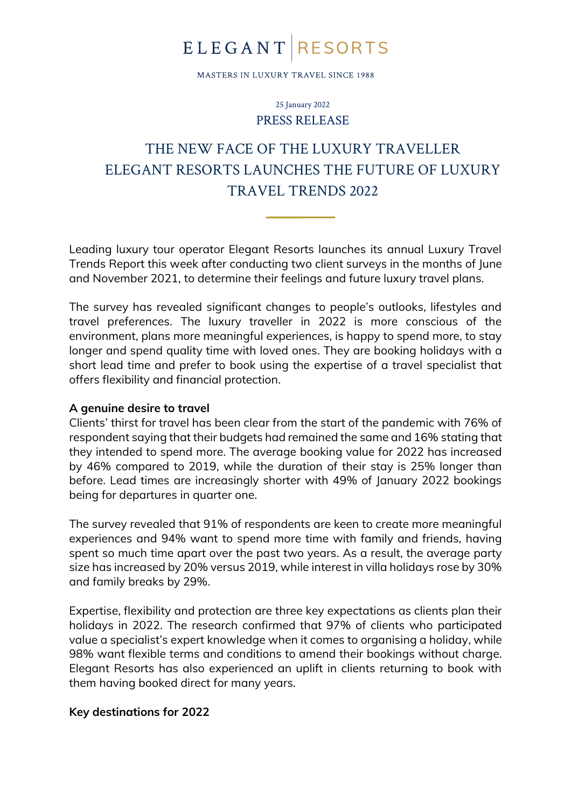## **ELEGANT RESORTS**

MASTERS IN LUXURY TRAVEL SINCE 1988

25 January 2022 PRESS RELEASE

### THE NEW FACE OF THE LUXURY TRAVELLER ELEGANT RESORTS LAUNCHES THE FUTURE OF LUXURY TRAVEL TRENDS 2022

Leading luxury tour operator Elegant Resorts launches its annual Luxury Travel Trends Report this week after conducting two client surveys in the months of June and November 2021, to determine their feelings and future luxury travel plans.

The survey has revealed significant changes to people's outlooks, lifestyles and travel preferences. The luxury traveller in 2022 is more conscious of the environment, plans more meaningful experiences, is happy to spend more, to stay longer and spend quality time with loved ones. They are booking holidays with a short lead time and prefer to book using the expertise of a travel specialist that offers flexibility and financial protection.

#### **A genuine desire to travel**

Clients' thirst for travel has been clear from the start of the pandemic with 76% of respondent saying that their budgets had remained the same and 16% stating that they intended to spend more. The average booking value for 2022 has increased by 46% compared to 2019, while the duration of their stay is 25% longer than before. Lead times are increasingly shorter with 49% of January 2022 bookings being for departures in quarter one.

The survey revealed that 91% of respondents are keen to create more meaningful experiences and 94% want to spend more time with family and friends, having spent so much time apart over the past two years. As a result, the average party size has increased by 20% versus 2019, while interest in villa holidays rose by 30% and family breaks by 29%.

Expertise, flexibility and protection are three key expectations as clients plan their holidays in 2022. The research confirmed that 97% of clients who participated value a specialist's expert knowledge when it comes to organising a holiday, while 98% want flexible terms and conditions to amend their bookings without charge. Elegant Resorts has also experienced an uplift in clients returning to book with them having booked direct for many years.

### **Key destinations for 2022**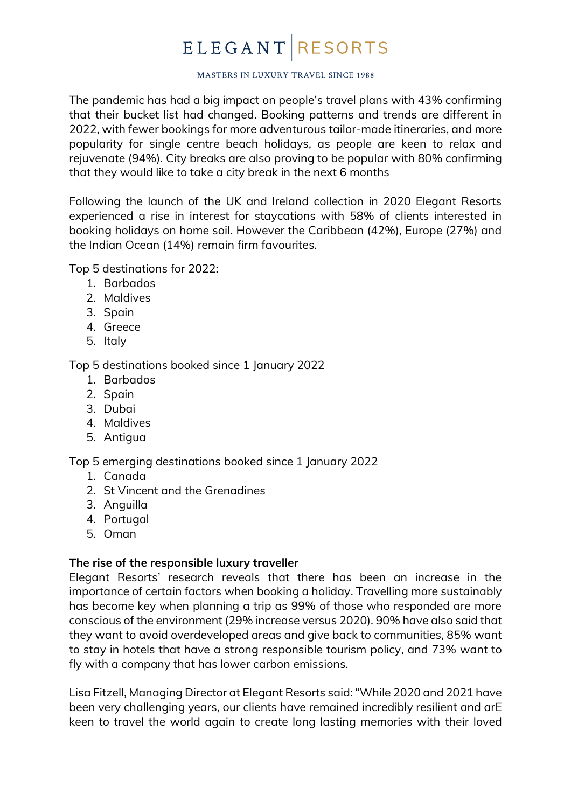# **ELEGANT RESORTS**

#### MASTERS IN LUXURY TRAVEL SINCE 1988

The pandemic has had a big impact on people's travel plans with 43% confirming that their bucket list had changed. Booking patterns and trends are different in 2022, with fewer bookings for more adventurous tailor-made itineraries, and more popularity for single centre beach holidays, as people are keen to relax and rejuvenate (94%). City breaks are also proving to be popular with 80% confirming that they would like to take a city break in the next 6 months

Following the launch of the UK and Ireland collection in 2020 Elegant Resorts experienced a rise in interest for staycations with 58% of clients interested in booking holidays on home soil. However the Caribbean (42%), Europe (27%) and the Indian Ocean (14%) remain firm favourites.

Top 5 destinations for 2022:

- 1. Barbados
- 2. Maldives
- 3. Spain
- 4. Greece
- 5. Italy

Top 5 destinations booked since 1 January 2022

- 1. Barbados
- 2. Spain
- 3. Dubai
- 4. Maldives
- 5. Antigua

Top 5 emerging destinations booked since 1 January 2022

- 1. Canada
- 2. St Vincent and the Grenadines
- 3. Anguilla
- 4. Portugal
- 5. Oman

### **The rise of the responsible luxury traveller**

Elegant Resorts' research reveals that there has been an increase in the importance of certain factors when booking a holiday. Travelling more sustainably has become key when planning a trip as 99% of those who responded are more conscious of the environment (29% increase versus 2020). 90% have also said that they want to avoid overdeveloped areas and give back to communities, 85% want to stay in hotels that have a strong responsible tourism policy, and 73% want to fly with a company that has lower carbon emissions.

Lisa Fitzell, Managing Director at Elegant Resorts said: "While 2020 and 2021 have been very challenging years, our clients have remained incredibly resilient and arE keen to travel the world again to create long lasting memories with their loved